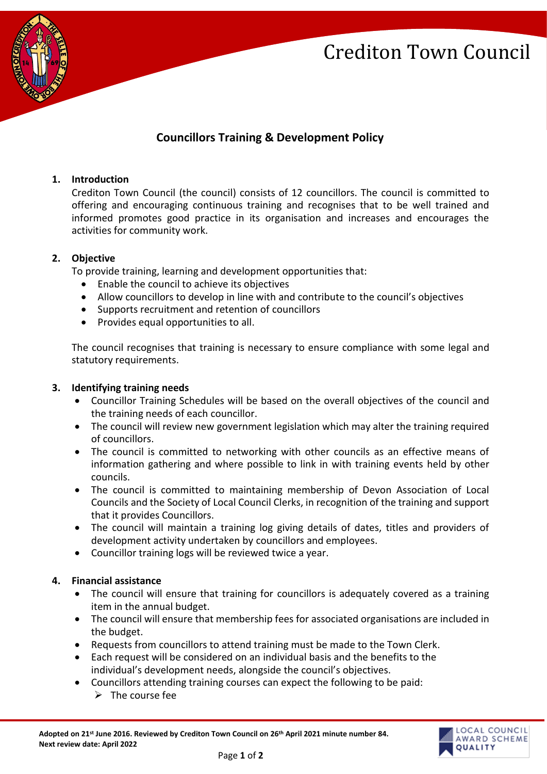## Crediton Town Council



### **Councillors Training & Development Policy**

#### **1. Introduction**

Crediton Town Council (the council) consists of 12 councillors. The council is committed to offering and encouraging continuous training and recognises that to be well trained and informed promotes good practice in its organisation and increases and encourages the activities for community work.

#### **2. Objective**

To provide training, learning and development opportunities that:

- Enable the council to achieve its objectives
- Allow councillors to develop in line with and contribute to the council's objectives
- Supports recruitment and retention of councillors
- Provides equal opportunities to all.

The council recognises that training is necessary to ensure compliance with some legal and statutory requirements.

#### **3. Identifying training needs**

- Councillor Training Schedules will be based on the overall objectives of the council and the training needs of each councillor.
- The council will review new government legislation which may alter the training required of councillors.
- The council is committed to networking with other councils as an effective means of information gathering and where possible to link in with training events held by other councils.
- The council is committed to maintaining membership of Devon Association of Local Councils and the Society of Local Council Clerks, in recognition of the training and support that it provides Councillors.
- The council will maintain a training log giving details of dates, titles and providers of development activity undertaken by councillors and employees.
- Councillor training logs will be reviewed twice a year.

#### **4. Financial assistance**

- The council will ensure that training for councillors is adequately covered as a training item in the annual budget.
- The council will ensure that membership fees for associated organisations are included in the budget.
- Requests from councillors to attend training must be made to the Town Clerk.
- Each request will be considered on an individual basis and the benefits to the individual's development needs, alongside the council's objectives.
- Councillors attending training courses can expect the following to be paid:
	- $\triangleright$  The course fee